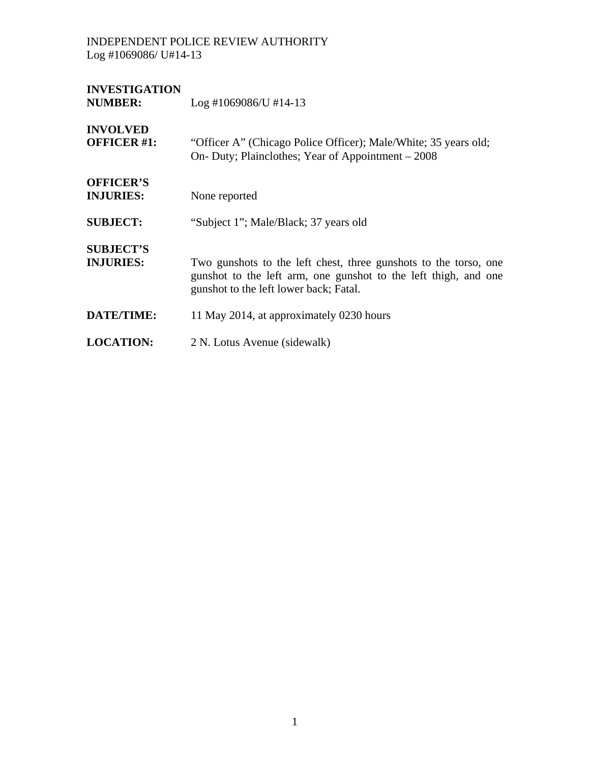# **INVESTIGATION**

Log #1069086/U #14-13

## **INVOLVED**

| <b>OFFICER #1:</b>                   | "Officer A" (Chicago Police Officer); Male/White; 35 years old;<br>On- Duty; Plainclothes; Year of Appointment – 2008                                                         |
|--------------------------------------|-------------------------------------------------------------------------------------------------------------------------------------------------------------------------------|
| <b>OFFICER'S</b><br><b>INJURIES:</b> | None reported                                                                                                                                                                 |
| <b>SUBJECT:</b>                      | "Subject 1"; Male/Black; 37 years old                                                                                                                                         |
| <b>SUBJECT'S</b><br><b>INJURIES:</b> | Two gunshots to the left chest, three gunshots to the torso, one<br>gunshot to the left arm, one gunshot to the left thigh, and one<br>gunshot to the left lower back; Fatal. |
| <b>DATE/TIME:</b>                    | 11 May 2014, at approximately 0230 hours                                                                                                                                      |
| <b>LOCATION:</b>                     | 2 N. Lotus Avenue (sidewalk)                                                                                                                                                  |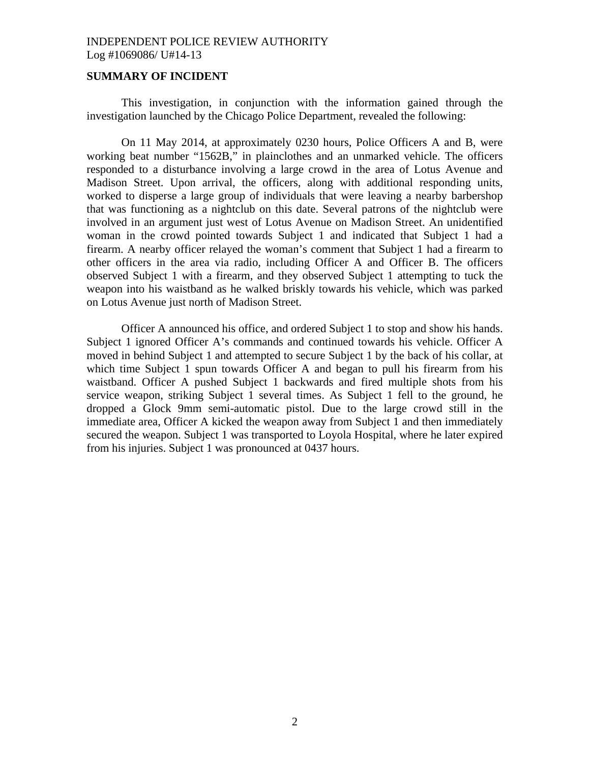#### **SUMMARY OF INCIDENT**

 This investigation, in conjunction with the information gained through the investigation launched by the Chicago Police Department, revealed the following:

 On 11 May 2014, at approximately 0230 hours, Police Officers A and B, were working beat number "1562B," in plainclothes and an unmarked vehicle. The officers responded to a disturbance involving a large crowd in the area of Lotus Avenue and Madison Street. Upon arrival, the officers, along with additional responding units, worked to disperse a large group of individuals that were leaving a nearby barbershop that was functioning as a nightclub on this date. Several patrons of the nightclub were involved in an argument just west of Lotus Avenue on Madison Street. An unidentified woman in the crowd pointed towards Subject 1 and indicated that Subject 1 had a firearm. A nearby officer relayed the woman's comment that Subject 1 had a firearm to other officers in the area via radio, including Officer A and Officer B. The officers observed Subject 1 with a firearm, and they observed Subject 1 attempting to tuck the weapon into his waistband as he walked briskly towards his vehicle, which was parked on Lotus Avenue just north of Madison Street.

 Officer A announced his office, and ordered Subject 1 to stop and show his hands. Subject 1 ignored Officer A's commands and continued towards his vehicle. Officer A moved in behind Subject 1 and attempted to secure Subject 1 by the back of his collar, at which time Subject 1 spun towards Officer A and began to pull his firearm from his waistband. Officer A pushed Subject 1 backwards and fired multiple shots from his service weapon, striking Subject 1 several times. As Subject 1 fell to the ground, he dropped a Glock 9mm semi-automatic pistol. Due to the large crowd still in the immediate area, Officer A kicked the weapon away from Subject 1 and then immediately secured the weapon. Subject 1 was transported to Loyola Hospital, where he later expired from his injuries. Subject 1 was pronounced at 0437 hours.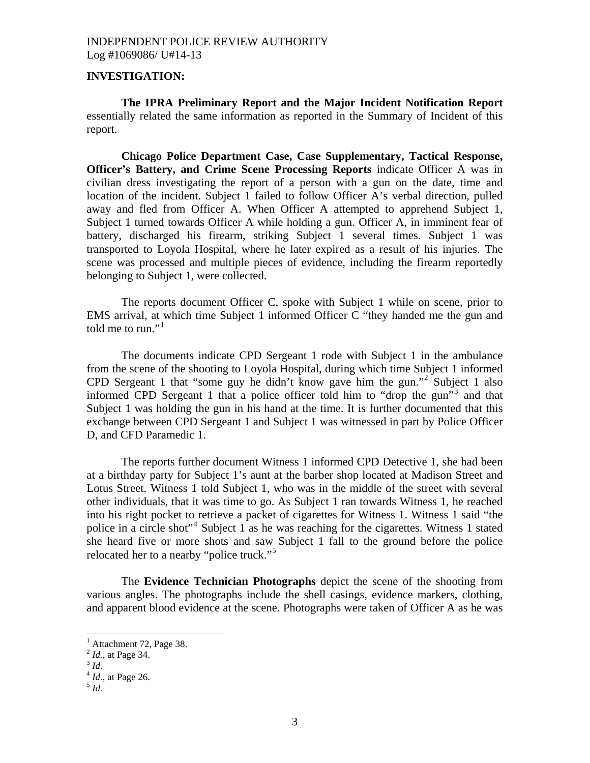#### **INVESTIGATION:**

**The IPRA Preliminary Report and the Major Incident Notification Report** essentially related the same information as reported in the Summary of Incident of this report.

**Chicago Police Department Case, Case Supplementary, Tactical Response, Officer's Battery, and Crime Scene Processing Reports** indicate Officer A was in civilian dress investigating the report of a person with a gun on the date, time and location of the incident. Subject 1 failed to follow Officer A's verbal direction, pulled away and fled from Officer A. When Officer A attempted to apprehend Subject 1, Subject 1 turned towards Officer A while holding a gun. Officer A, in imminent fear of battery, discharged his firearm, striking Subject 1 several times. Subject 1 was transported to Loyola Hospital, where he later expired as a result of his injuries. The scene was processed and multiple pieces of evidence, including the firearm reportedly belonging to Subject 1, were collected.

The reports document Officer C, spoke with Subject 1 while on scene, prior to EMS arrival, at which time Subject 1 informed Officer C "they handed me the gun and told me to run." $1$ 

The documents indicate CPD Sergeant 1 rode with Subject 1 in the ambulance from the scene of the shooting to Loyola Hospital, during which time Subject 1 informed CPD Sergeant 1 that "some guy he didn't know gave him the gun."<sup>[2](#page-2-1)</sup> Subject 1 also informed CPD Sergeant 1 that a police officer told him to "drop the gun"<sup>[3](#page-2-2)</sup> and that Subject 1 was holding the gun in his hand at the time. It is further documented that this exchange between CPD Sergeant 1 and Subject 1 was witnessed in part by Police Officer D, and CFD Paramedic 1.

The reports further document Witness 1 informed CPD Detective 1, she had been at a birthday party for Subject 1's aunt at the barber shop located at Madison Street and Lotus Street. Witness 1 told Subject 1, who was in the middle of the street with several other individuals, that it was time to go. As Subject 1 ran towards Witness 1, he reached into his right pocket to retrieve a packet of cigarettes for Witness 1. Witness 1 said "the police in a circle shot"<sup>[4](#page-2-3)</sup> Subject 1 as he was reaching for the cigarettes. Witness 1 stated she heard five or more shots and saw Subject 1 fall to the ground before the police relocated her to a nearby "police truck."[5](#page-2-4) 

 The **Evidence Technician Photographs** depict the scene of the shooting from various angles. The photographs include the shell casings, evidence markers, clothing, and apparent blood evidence at the scene. Photographs were taken of Officer A as he was

 $\overline{a}$ 

<sup>&</sup>lt;sup>1</sup> Attachment 72, Page 38.

<span id="page-2-1"></span><span id="page-2-0"></span><sup>2</sup> *Id.*, at Page 34. 3 *Id.* 

<span id="page-2-3"></span><span id="page-2-2"></span>

<sup>4</sup> *Id.*, at Page 26. 5 *Id.* 

<span id="page-2-4"></span>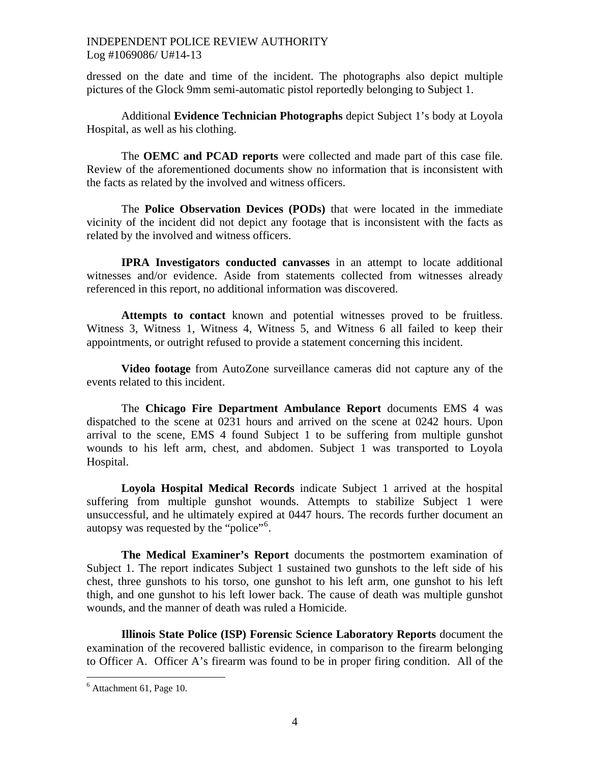dressed on the date and time of the incident. The photographs also depict multiple pictures of the Glock 9mm semi-automatic pistol reportedly belonging to Subject 1.

 Additional **Evidence Technician Photographs** depict Subject 1's body at Loyola Hospital, as well as his clothing.

The **OEMC and PCAD reports** were collected and made part of this case file. Review of the aforementioned documents show no information that is inconsistent with the facts as related by the involved and witness officers.

The **Police Observation Devices (PODs)** that were located in the immediate vicinity of the incident did not depict any footage that is inconsistent with the facts as related by the involved and witness officers.

**IPRA Investigators conducted canvasses** in an attempt to locate additional witnesses and/or evidence. Aside from statements collected from witnesses already referenced in this report, no additional information was discovered.

**Attempts to contact** known and potential witnesses proved to be fruitless. Witness 3, Witness 1, Witness 4, Witness 5, and Witness 6 all failed to keep their appointments, or outright refused to provide a statement concerning this incident.

**Video footage** from AutoZone surveillance cameras did not capture any of the events related to this incident.

The **Chicago Fire Department Ambulance Report** documents EMS 4 was dispatched to the scene at 0231 hours and arrived on the scene at 0242 hours. Upon arrival to the scene, EMS 4 found Subject 1 to be suffering from multiple gunshot wounds to his left arm, chest, and abdomen. Subject 1 was transported to Loyola Hospital.

**Loyola Hospital Medical Records** indicate Subject 1 arrived at the hospital suffering from multiple gunshot wounds. Attempts to stabilize Subject 1 were unsuccessful, and he ultimately expired at 0447 hours. The records further document an autopsy was requested by the "police"<sup>[6](#page-3-0)</sup>.

**The Medical Examiner's Report** documents the postmortem examination of Subject 1. The report indicates Subject 1 sustained two gunshots to the left side of his chest, three gunshots to his torso, one gunshot to his left arm, one gunshot to his left thigh, and one gunshot to his left lower back. The cause of death was multiple gunshot wounds, and the manner of death was ruled a Homicide.

**Illinois State Police (ISP) Forensic Science Laboratory Reports** document the examination of the recovered ballistic evidence, in comparison to the firearm belonging to Officer A. Officer A's firearm was found to be in proper firing condition. All of the

 $\overline{a}$ 

<span id="page-3-0"></span><sup>6</sup> Attachment 61, Page 10.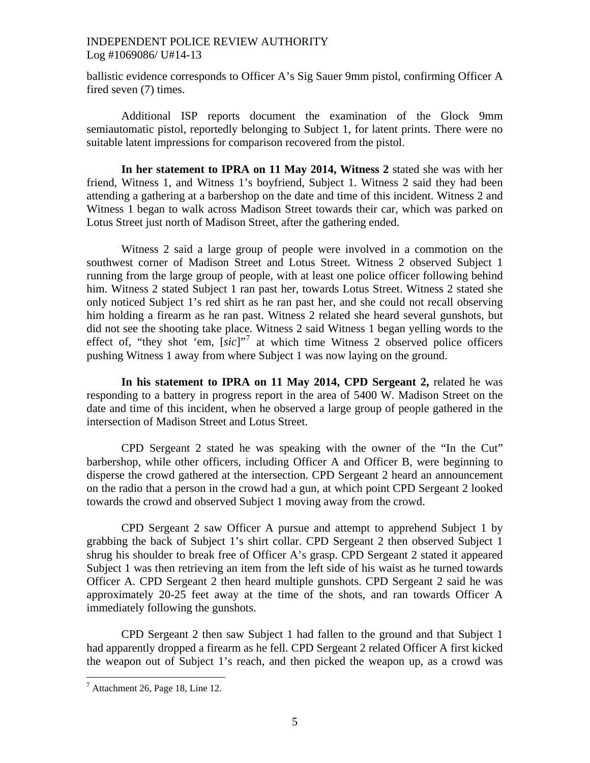ballistic evidence corresponds to Officer A's Sig Sauer 9mm pistol, confirming Officer A fired seven (7) times.

Additional ISP reports document the examination of the Glock 9mm semiautomatic pistol, reportedly belonging to Subject 1, for latent prints. There were no suitable latent impressions for comparison recovered from the pistol.

**In her statement to IPRA on 11 May 2014, Witness 2** stated she was with her friend, Witness 1, and Witness 1's boyfriend, Subject 1. Witness 2 said they had been attending a gathering at a barbershop on the date and time of this incident. Witness 2 and Witness 1 began to walk across Madison Street towards their car, which was parked on Lotus Street just north of Madison Street, after the gathering ended.

Witness 2 said a large group of people were involved in a commotion on the southwest corner of Madison Street and Lotus Street. Witness 2 observed Subject 1 running from the large group of people, with at least one police officer following behind him. Witness 2 stated Subject 1 ran past her, towards Lotus Street. Witness 2 stated she only noticed Subject 1's red shirt as he ran past her, and she could not recall observing him holding a firearm as he ran past. Witness 2 related she heard several gunshots, but did not see the shooting take place. Witness 2 said Witness 1 began yelling words to the effect of, "they shot 'em, [*sic*]"[7](#page-4-0) at which time Witness 2 observed police officers pushing Witness 1 away from where Subject 1 was now laying on the ground.

**In his statement to IPRA on 11 May 2014, CPD Sergeant 2,** related he was responding to a battery in progress report in the area of 5400 W. Madison Street on the date and time of this incident, when he observed a large group of people gathered in the intersection of Madison Street and Lotus Street.

CPD Sergeant 2 stated he was speaking with the owner of the "In the Cut" barbershop, while other officers, including Officer A and Officer B, were beginning to disperse the crowd gathered at the intersection. CPD Sergeant 2 heard an announcement on the radio that a person in the crowd had a gun, at which point CPD Sergeant 2 looked towards the crowd and observed Subject 1 moving away from the crowd.

CPD Sergeant 2 saw Officer A pursue and attempt to apprehend Subject 1 by grabbing the back of Subject 1's shirt collar. CPD Sergeant 2 then observed Subject 1 shrug his shoulder to break free of Officer A's grasp. CPD Sergeant 2 stated it appeared Subject 1 was then retrieving an item from the left side of his waist as he turned towards Officer A. CPD Sergeant 2 then heard multiple gunshots. CPD Sergeant 2 said he was approximately 20-25 feet away at the time of the shots, and ran towards Officer A immediately following the gunshots.

CPD Sergeant 2 then saw Subject 1 had fallen to the ground and that Subject 1 had apparently dropped a firearm as he fell. CPD Sergeant 2 related Officer A first kicked the weapon out of Subject 1's reach, and then picked the weapon up, as a crowd was

<span id="page-4-0"></span> $<sup>7</sup>$  Attachment 26, Page 18, Line 12.</sup>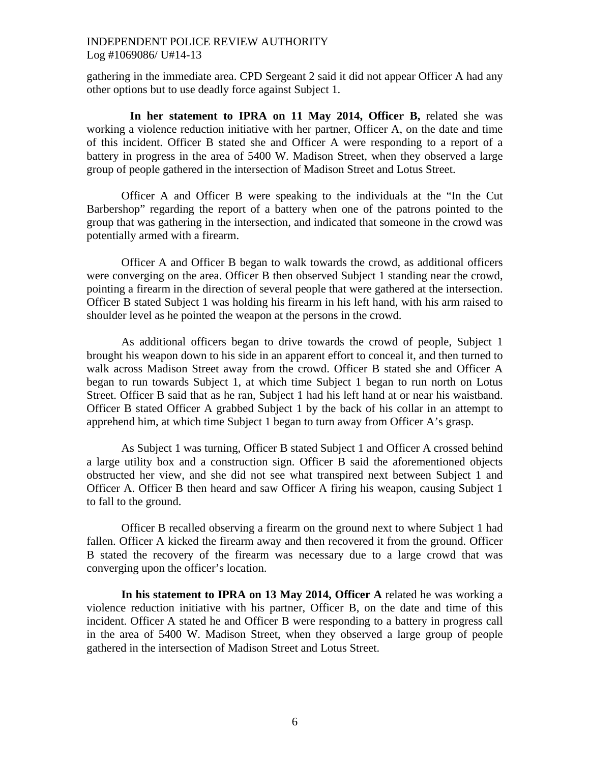gathering in the immediate area. CPD Sergeant 2 said it did not appear Officer A had any other options but to use deadly force against Subject 1.

In her statement to IPRA on 11 May 2014, Officer B, related she was working a violence reduction initiative with her partner, Officer A, on the date and time of this incident. Officer B stated she and Officer A were responding to a report of a battery in progress in the area of 5400 W. Madison Street, when they observed a large group of people gathered in the intersection of Madison Street and Lotus Street.

Officer A and Officer B were speaking to the individuals at the "In the Cut Barbershop" regarding the report of a battery when one of the patrons pointed to the group that was gathering in the intersection, and indicated that someone in the crowd was potentially armed with a firearm.

Officer A and Officer B began to walk towards the crowd, as additional officers were converging on the area. Officer B then observed Subject 1 standing near the crowd, pointing a firearm in the direction of several people that were gathered at the intersection. Officer B stated Subject 1 was holding his firearm in his left hand, with his arm raised to shoulder level as he pointed the weapon at the persons in the crowd.

As additional officers began to drive towards the crowd of people, Subject 1 brought his weapon down to his side in an apparent effort to conceal it, and then turned to walk across Madison Street away from the crowd. Officer B stated she and Officer A began to run towards Subject 1, at which time Subject 1 began to run north on Lotus Street. Officer B said that as he ran, Subject 1 had his left hand at or near his waistband. Officer B stated Officer A grabbed Subject 1 by the back of his collar in an attempt to apprehend him, at which time Subject 1 began to turn away from Officer A's grasp.

As Subject 1 was turning, Officer B stated Subject 1 and Officer A crossed behind a large utility box and a construction sign. Officer B said the aforementioned objects obstructed her view, and she did not see what transpired next between Subject 1 and Officer A. Officer B then heard and saw Officer A firing his weapon, causing Subject 1 to fall to the ground.

Officer B recalled observing a firearm on the ground next to where Subject 1 had fallen. Officer A kicked the firearm away and then recovered it from the ground. Officer B stated the recovery of the firearm was necessary due to a large crowd that was converging upon the officer's location.

**In his statement to IPRA on 13 May 2014, Officer A** related he was working a violence reduction initiative with his partner, Officer B, on the date and time of this incident. Officer A stated he and Officer B were responding to a battery in progress call in the area of 5400 W. Madison Street, when they observed a large group of people gathered in the intersection of Madison Street and Lotus Street.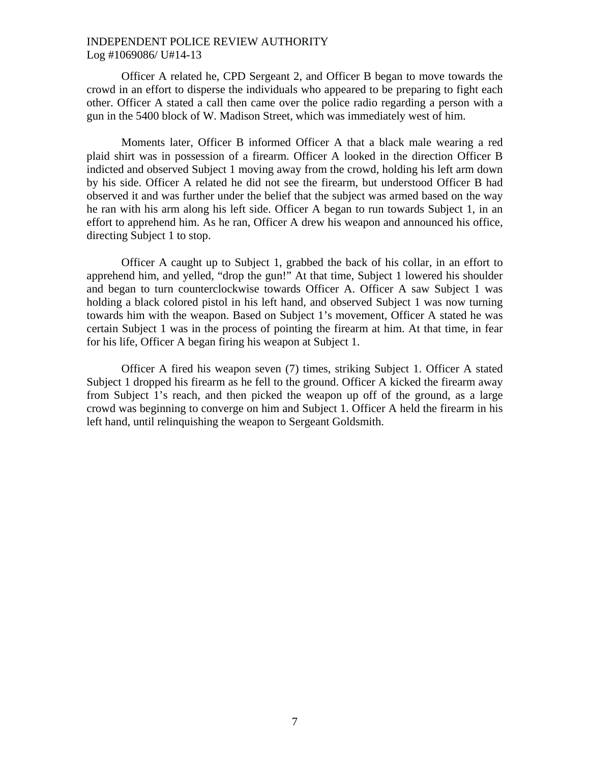Officer A related he, CPD Sergeant 2, and Officer B began to move towards the crowd in an effort to disperse the individuals who appeared to be preparing to fight each other. Officer A stated a call then came over the police radio regarding a person with a gun in the 5400 block of W. Madison Street, which was immediately west of him.

Moments later, Officer B informed Officer A that a black male wearing a red plaid shirt was in possession of a firearm. Officer A looked in the direction Officer B indicted and observed Subject 1 moving away from the crowd, holding his left arm down by his side. Officer A related he did not see the firearm, but understood Officer B had observed it and was further under the belief that the subject was armed based on the way he ran with his arm along his left side. Officer A began to run towards Subject 1, in an effort to apprehend him. As he ran, Officer A drew his weapon and announced his office, directing Subject 1 to stop.

Officer A caught up to Subject 1, grabbed the back of his collar, in an effort to apprehend him, and yelled, "drop the gun!" At that time, Subject 1 lowered his shoulder and began to turn counterclockwise towards Officer A. Officer A saw Subject 1 was holding a black colored pistol in his left hand, and observed Subject 1 was now turning towards him with the weapon. Based on Subject 1's movement, Officer A stated he was certain Subject 1 was in the process of pointing the firearm at him. At that time, in fear for his life, Officer A began firing his weapon at Subject 1.

Officer A fired his weapon seven (7) times, striking Subject 1. Officer A stated Subject 1 dropped his firearm as he fell to the ground. Officer A kicked the firearm away from Subject 1's reach, and then picked the weapon up off of the ground, as a large crowd was beginning to converge on him and Subject 1. Officer A held the firearm in his left hand, until relinquishing the weapon to Sergeant Goldsmith.